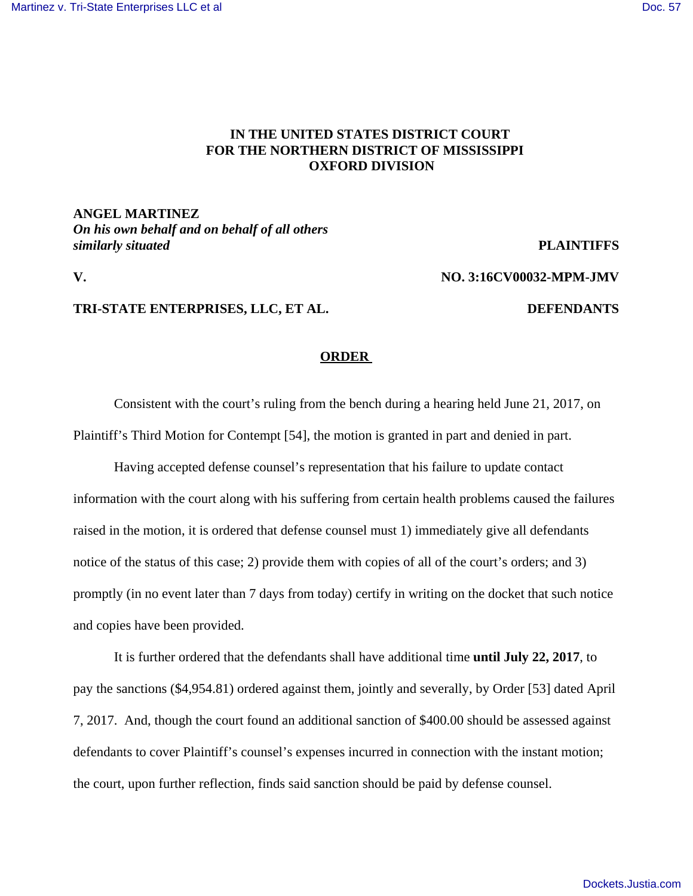## **IN THE UNITED STATES DISTRICT COURT FOR THE NORTHERN DISTRICT OF MISSISSIPPI OXFORD DIVISION**

**ANGEL MARTINEZ** *On his own behalf and on behalf of all others similarly situated* **PLAINTIFFS**

**V. NO. 3:16CV00032-MPM-JMV**

## **TRI-STATE ENTERPRISES, LLC, ET AL. DEFENDANTS**

## **ORDER**

Consistent with the court's ruling from the bench during a hearing held June 21, 2017, on Plaintiff's Third Motion for Contempt [54], the motion is granted in part and denied in part.

Having accepted defense counsel's representation that his failure to update contact information with the court along with his suffering from certain health problems caused the failures raised in the motion, it is ordered that defense counsel must 1) immediately give all defendants notice of the status of this case; 2) provide them with copies of all of the court's orders; and 3) promptly (in no event later than 7 days from today) certify in writing on the docket that such notice and copies have been provided.

It is further ordered that the defendants shall have additional time **until July 22, 2017**, to pay the sanctions (\$4,954.81) ordered against them, jointly and severally, by Order [53] dated April 7, 2017. And, though the court found an additional sanction of \$400.00 should be assessed against defendants to cover Plaintiff's counsel's expenses incurred in connection with the instant motion; the court, upon further reflection, finds said sanction should be paid by defense counsel.